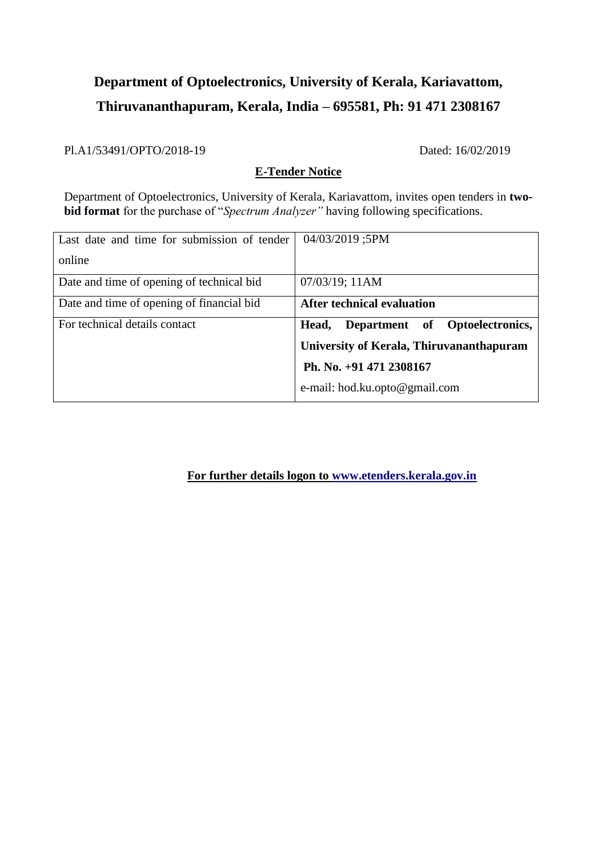# **Department of Optoelectronics, University of Kerala, Kariavattom, Thiruvananthapuram, Kerala, India – 695581, Ph: 91 471 2308167**

Pl.A1/53491/OPTO/2018-19 Dated: 16/02/2019

### **E-Tender Notice**

Department of Optoelectronics, University of Kerala, Kariavattom, invites open tenders in **twobid format** for the purchase of "*Spectrum Analyzer"* having following specifications.

| Last date and time for submission of tender | 04/03/2019 ;5PM                          |
|---------------------------------------------|------------------------------------------|
| online                                      |                                          |
| Date and time of opening of technical bid   | 07/03/19; 11AM                           |
| Date and time of opening of financial bid   | After technical evaluation               |
| For technical details contact               | Department of Optoelectronics,<br>Head,  |
|                                             | University of Kerala, Thiruvananthapuram |
|                                             | Ph. No. +91 471 2308167                  |
|                                             | e-mail: hod.ku.opto@gmail.com            |

**For further details logon to [www.etenders.kerala.gov.in](http://www.etenders.kerala.gov.in/)**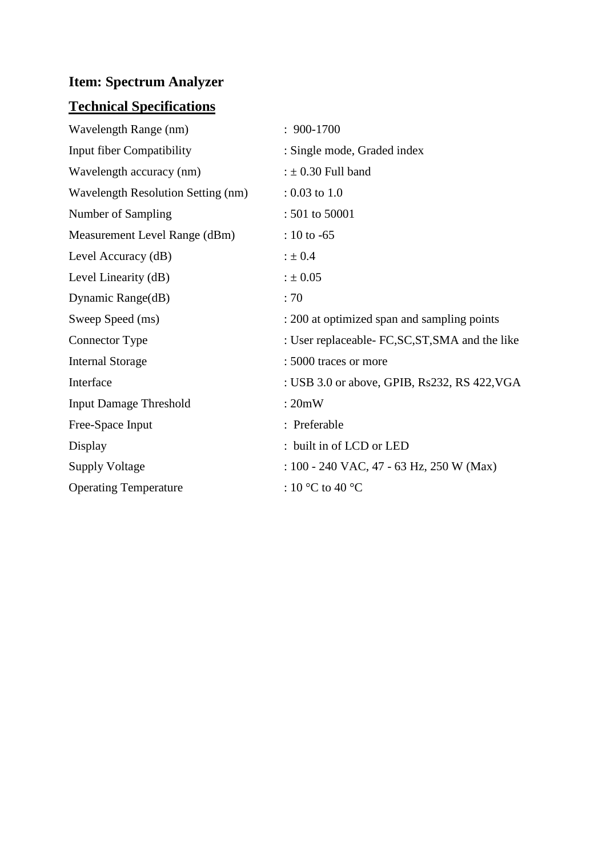## **Item: Spectrum Analyzer**

## **Technical Specifications**

| Wavelength Range (nm)                     | $: 900-1700$                                     |
|-------------------------------------------|--------------------------------------------------|
| Input fiber Compatibility                 | : Single mode, Graded index                      |
| Wavelength accuracy (nm)                  | : $\pm$ 0.30 Full band                           |
| <b>Wavelength Resolution Setting (nm)</b> | $: 0.03$ to 1.0                                  |
| Number of Sampling                        | : 501 to 50001                                   |
| Measurement Level Range (dBm)             | : 10 to $-65$                                    |
| Level Accuracy (dB)                       | $: \pm 0.4$                                      |
| Level Linearity (dB)                      | $: \pm 0.05$                                     |
| Dynamic Range(dB)                         | : 70                                             |
| Sweep Speed (ms)                          | : 200 at optimized span and sampling points      |
| Connector Type                            | : User replaceable- FC, SC, ST, SMA and the like |
| <b>Internal Storage</b>                   | : 5000 traces or more                            |
| Interface                                 | : USB 3.0 or above, GPIB, Rs232, RS 422, VGA     |
| <b>Input Damage Threshold</b>             | :20mW                                            |
| Free-Space Input                          | : Preferable                                     |
| Display                                   | : built in of LCD or LED                         |
| <b>Supply Voltage</b>                     | : 100 - 240 VAC, 47 - 63 Hz, 250 W (Max)         |
| <b>Operating Temperature</b>              | : 10 °C to 40 °C                                 |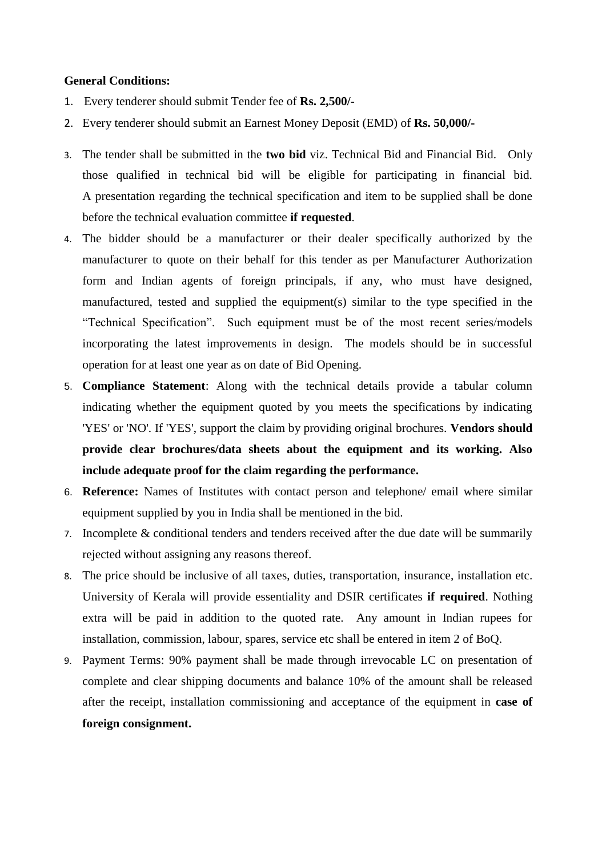#### **General Conditions:**

- 1. Every tenderer should submit Tender fee of **Rs. 2,500/-**
- 2. Every tenderer should submit an Earnest Money Deposit (EMD) of **Rs. 50,000/-**
- 3. The tender shall be submitted in the **two bid** viz. Technical Bid and Financial Bid. Only those qualified in technical bid will be eligible for participating in financial bid. A presentation regarding the technical specification and item to be supplied shall be done before the technical evaluation committee **if requested**.
- 4. The bidder should be a manufacturer or their dealer specifically authorized by the manufacturer to quote on their behalf for this tender as per Manufacturer Authorization form and Indian agents of foreign principals, if any, who must have designed, manufactured, tested and supplied the equipment(s) similar to the type specified in the "Technical Specification". Such equipment must be of the most recent series/models incorporating the latest improvements in design. The models should be in successful operation for at least one year as on date of Bid Opening.
- 5. **Compliance Statement**: Along with the technical details provide a tabular column indicating whether the equipment quoted by you meets the specifications by indicating 'YES' or 'NO'. If 'YES', support the claim by providing original brochures. **Vendors should provide clear brochures/data sheets about the equipment and its working. Also include adequate proof for the claim regarding the performance.**
- 6. **Reference:** Names of Institutes with contact person and telephone/ email where similar equipment supplied by you in India shall be mentioned in the bid.
- 7. Incomplete & conditional tenders and tenders received after the due date will be summarily rejected without assigning any reasons thereof.
- 8. The price should be inclusive of all taxes, duties, transportation, insurance, installation etc. University of Kerala will provide essentiality and DSIR certificates **if required**. Nothing extra will be paid in addition to the quoted rate. Any amount in Indian rupees for installation, commission, labour, spares, service etc shall be entered in item 2 of BoQ.
- 9. Payment Terms: 90% payment shall be made through irrevocable LC on presentation of complete and clear shipping documents and balance 10% of the amount shall be released after the receipt, installation commissioning and acceptance of the equipment in **case of foreign consignment.**